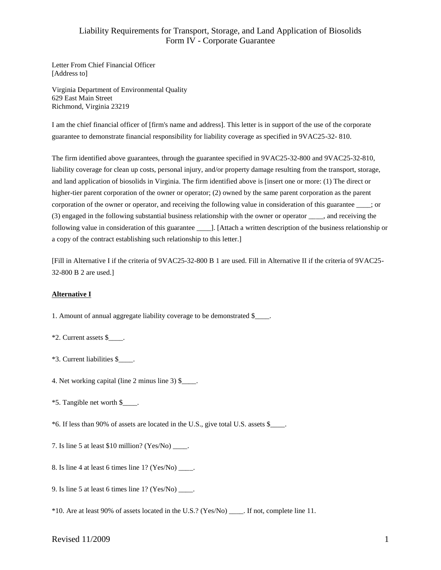Letter From Chief Financial Officer [Address to]

Virginia Department of Environmental Quality 629 East Main Street Richmond, Virginia 23219

I am the chief financial officer of [firm's name and address]. This letter is in support of the use of the corporate guarantee to demonstrate financial responsibility for liability coverage as specified in 9VAC25-32- 810.

The firm identified above guarantees, through the guarantee specified in 9VAC25-32-800 and 9VAC25-32-810, liability coverage for clean up costs, personal injury, and/or property damage resulting from the transport, storage, and land application of biosolids in Virginia. The firm identified above is [insert one or more: (1) The direct or higher-tier parent corporation of the owner or operator; (2) owned by the same parent corporation as the parent corporation of the owner or operator, and receiving the following value in consideration of this guarantee  $\cdots$ ; or (3) engaged in the following substantial business relationship with the owner or operator \_\_\_\_, and receiving the following value in consideration of this guarantee [1]. [Attach a written description of the business relationship or a copy of the contract establishing such relationship to this letter.]

[Fill in Alternative I if the criteria of 9VAC25-32-800 B 1 are used. Fill in Alternative II if the criteria of 9VAC25- 32-800 B 2 are used.]

### **Alternative I**

1. Amount of annual aggregate liability coverage to be demonstrated \$\_\_\_\_.

- \*2. Current assets \$\_\_\_\_.
- \*3. Current liabilities \$\_\_\_\_.
- 4. Net working capital (line 2 minus line 3) \$\_\_\_\_.
- \*5. Tangible net worth \$\_\_\_\_.
- \*6. If less than 90% of assets are located in the U.S., give total U.S. assets \$\_\_\_\_.
- 7. Is line 5 at least \$10 million? (Yes/No) \_\_\_\_.
- 8. Is line 4 at least 6 times line 1? (Yes/No) \_\_\_\_.
- 9. Is line 5 at least 6 times line  $1?$  (Yes/No) \_\_\_\_.
- \*10. Are at least 90% of assets located in the U.S.? (Yes/No) \_\_\_\_. If not, complete line 11.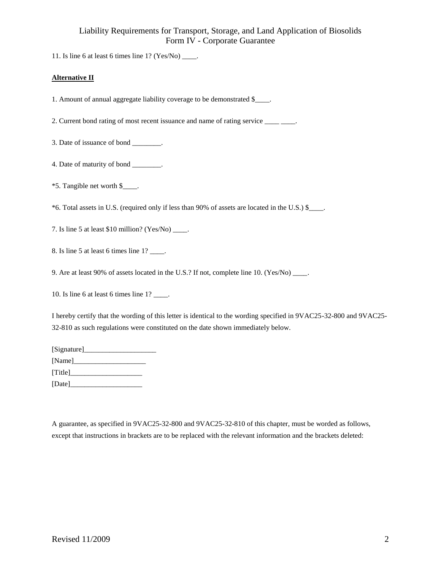11. Is line 6 at least 6 times line  $1?$  (Yes/No)  $\frac{ }{ }$ .

### **Alternative II**

1. Amount of annual aggregate liability coverage to be demonstrated \$\_\_\_\_.

2. Current bond rating of most recent issuance and name of rating service \_\_\_\_\_\_\_.

3. Date of issuance of bond \_\_\_\_\_\_\_\_.

- 4. Date of maturity of bond \_\_\_\_\_\_\_\_.
- \*5. Tangible net worth \$\_\_\_\_.

\*6. Total assets in U.S. (required only if less than 90% of assets are located in the U.S.) \$\_\_\_\_.

7. Is line 5 at least \$10 million? (Yes/No) \_\_\_\_.

8. Is line 5 at least 6 times line 1? \_\_\_\_.

9. Are at least 90% of assets located in the U.S.? If not, complete line 10. (Yes/No) \_\_\_\_.

10. Is line 6 at least 6 times line 1? \_\_\_\_.

I hereby certify that the wording of this letter is identical to the wording specified in 9VAC25-32-800 and 9VAC25- 32-810 as such regulations were constituted on the date shown immediately below.

| [Signature] |  |
|-------------|--|
| [Name]      |  |
| [Title]     |  |
| [Date]      |  |

A guarantee, as specified in 9VAC25-32-800 and 9VAC25-32-810 of this chapter, must be worded as follows, except that instructions in brackets are to be replaced with the relevant information and the brackets deleted: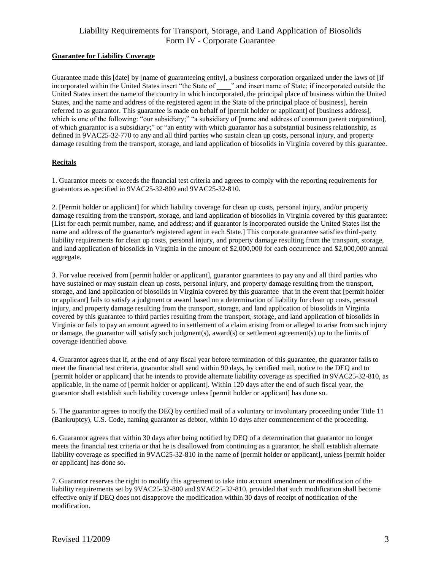#### **Guarantee for Liability Coverage**

Guarantee made this [date] by [name of guaranteeing entity], a business corporation organized under the laws of [if incorporated within the United States insert "the State of \_\_\_\_" and insert name of State; if incorporated outside the United States insert the name of the country in which incorporated, the principal place of business within the United States, and the name and address of the registered agent in the State of the principal place of business], herein referred to as guarantor. This guarantee is made on behalf of [permit holder or applicant] of [business address], which is one of the following: "our subsidiary;" "a subsidiary of [name and address of common parent corporation], of which guarantor is a subsidiary;" or "an entity with which guarantor has a substantial business relationship, as defined in 9VAC25-32-770 to any and all third parties who sustain clean up costs, personal injury, and property damage resulting from the transport, storage, and land application of biosolids in Virginia covered by this guarantee.

## **Recitals**

1. Guarantor meets or exceeds the financial test criteria and agrees to comply with the reporting requirements for guarantors as specified in 9VAC25-32-800 and 9VAC25-32-810.

2. [Permit holder or applicant] for which liability coverage for clean up costs, personal injury, and/or property damage resulting from the transport, storage, and land application of biosolids in Virginia covered by this guarantee: [List for each permit number, name, and address; and if guarantor is incorporated outside the United States list the name and address of the guarantor's registered agent in each State.] This corporate guarantee satisfies third-party liability requirements for clean up costs, personal injury, and property damage resulting from the transport, storage, and land application of biosolids in Virginia in the amount of \$2,000,000 for each occurrence and \$2,000,000 annual aggregate.

3. For value received from [permit holder or applicant], guarantor guarantees to pay any and all third parties who have sustained or may sustain clean up costs, personal injury, and property damage resulting from the transport, storage, and land application of biosolids in Virginia covered by this guarantee that in the event that [permit holder or applicant] fails to satisfy a judgment or award based on a determination of liability for clean up costs, personal injury, and property damage resulting from the transport, storage, and land application of biosolids in Virginia covered by this guarantee to third parties resulting from the transport, storage, and land application of biosolids in Virginia or fails to pay an amount agreed to in settlement of a claim arising from or alleged to arise from such injury or damage, the guarantor will satisfy such judgment(s), award(s) or settlement agreement(s) up to the limits of coverage identified above.

4. Guarantor agrees that if, at the end of any fiscal year before termination of this guarantee, the guarantor fails to meet the financial test criteria, guarantor shall send within 90 days, by certified mail, notice to the DEQ and to [permit holder or applicant] that he intends to provide alternate liability coverage as specified in 9VAC25-32-810, as applicable, in the name of [permit holder or applicant]. Within 120 days after the end of such fiscal year, the guarantor shall establish such liability coverage unless [permit holder or applicant] has done so.

5. The guarantor agrees to notify the DEQ by certified mail of a voluntary or involuntary proceeding under Title 11 (Bankruptcy), U.S. Code, naming guarantor as debtor, within 10 days after commencement of the proceeding.

6. Guarantor agrees that within 30 days after being notified by DEQ of a determination that guarantor no longer meets the financial test criteria or that he is disallowed from continuing as a guarantor, he shall establish alternate liability coverage as specified in 9VAC25-32-810 in the name of [permit holder or applicant], unless [permit holder or applicant] has done so.

7. Guarantor reserves the right to modify this agreement to take into account amendment or modification of the liability requirements set by 9VAC25-32-800 and 9VAC25-32-810, provided that such modification shall become effective only if DEQ does not disapprove the modification within 30 days of receipt of notification of the modification.